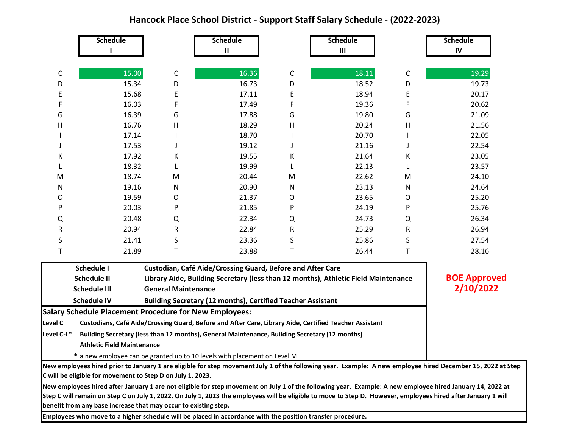## **Hancock Place School District - Support Staff Salary Schedule - (2022-2023)**

| <b>Schedule</b>                                                                                            |                                                                                                        |   | <b>Schedule</b><br>Ш                                                                          |   | <b>Schedule</b><br>Ш |   | <b>Schedule</b><br>IV                                                                                                                                                                                                                                                                                                      |  |  |  |  |  |
|------------------------------------------------------------------------------------------------------------|--------------------------------------------------------------------------------------------------------|---|-----------------------------------------------------------------------------------------------|---|----------------------|---|----------------------------------------------------------------------------------------------------------------------------------------------------------------------------------------------------------------------------------------------------------------------------------------------------------------------------|--|--|--|--|--|
| С                                                                                                          | 15.00                                                                                                  | С | 16.36                                                                                         | C | 18.11                | С | 19.29                                                                                                                                                                                                                                                                                                                      |  |  |  |  |  |
| D                                                                                                          | 15.34                                                                                                  | D | 16.73                                                                                         | D | 18.52                | D | 19.73                                                                                                                                                                                                                                                                                                                      |  |  |  |  |  |
| Ε                                                                                                          | 15.68                                                                                                  | E | 17.11                                                                                         | E | 18.94                | Ε | 20.17                                                                                                                                                                                                                                                                                                                      |  |  |  |  |  |
| F                                                                                                          | 16.03                                                                                                  | F | 17.49                                                                                         |   | 19.36                | F | 20.62                                                                                                                                                                                                                                                                                                                      |  |  |  |  |  |
| G                                                                                                          | 16.39                                                                                                  | G | 17.88                                                                                         | G | 19.80                | G | 21.09                                                                                                                                                                                                                                                                                                                      |  |  |  |  |  |
| H                                                                                                          | 16.76                                                                                                  | н | 18.29                                                                                         | н | 20.24                | н | 21.56                                                                                                                                                                                                                                                                                                                      |  |  |  |  |  |
|                                                                                                            | 17.14                                                                                                  |   | 18.70                                                                                         |   | 20.70                |   | 22.05                                                                                                                                                                                                                                                                                                                      |  |  |  |  |  |
|                                                                                                            | 17.53                                                                                                  |   | 19.12                                                                                         |   | 21.16                |   | 22.54                                                                                                                                                                                                                                                                                                                      |  |  |  |  |  |
| Κ                                                                                                          | 17.92                                                                                                  | К | 19.55                                                                                         | Κ | 21.64                | Κ | 23.05                                                                                                                                                                                                                                                                                                                      |  |  |  |  |  |
|                                                                                                            | 18.32                                                                                                  |   | 19.99                                                                                         |   | 22.13                |   | 23.57                                                                                                                                                                                                                                                                                                                      |  |  |  |  |  |
| M                                                                                                          | 18.74                                                                                                  | M | 20.44                                                                                         | M | 22.62                | M | 24.10                                                                                                                                                                                                                                                                                                                      |  |  |  |  |  |
| N                                                                                                          | 19.16                                                                                                  | N | 20.90                                                                                         | N | 23.13                | Ν | 24.64                                                                                                                                                                                                                                                                                                                      |  |  |  |  |  |
| O                                                                                                          | 19.59                                                                                                  | O | 21.37                                                                                         | 0 | 23.65                | O | 25.20                                                                                                                                                                                                                                                                                                                      |  |  |  |  |  |
| P                                                                                                          | 20.03                                                                                                  | P | 21.85                                                                                         | P | 24.19                | P | 25.76                                                                                                                                                                                                                                                                                                                      |  |  |  |  |  |
| Q                                                                                                          | 20.48                                                                                                  | Q | 22.34                                                                                         | Q | 24.73                | Q | 26.34                                                                                                                                                                                                                                                                                                                      |  |  |  |  |  |
| R                                                                                                          | 20.94                                                                                                  | R | 22.84                                                                                         | R | 25.29                | R | 26.94                                                                                                                                                                                                                                                                                                                      |  |  |  |  |  |
| S                                                                                                          | 21.41                                                                                                  | S | 23.36                                                                                         | S | 25.86                | S | 27.54                                                                                                                                                                                                                                                                                                                      |  |  |  |  |  |
| Τ                                                                                                          | 21.89                                                                                                  | T | 23.88                                                                                         | T | 26.44                | т | 28.16                                                                                                                                                                                                                                                                                                                      |  |  |  |  |  |
| Schedule I<br><b>Schedule II</b><br><b>Schedule III</b><br><b>Schedule IV</b>                              | <b>BOE Approved</b><br>2/10/2022                                                                       |   |                                                                                               |   |                      |   |                                                                                                                                                                                                                                                                                                                            |  |  |  |  |  |
| <b>Salary Schedule Placement Procedure for New Employees:</b>                                              |                                                                                                        |   | <b>Building Secretary (12 months), Certified Teacher Assistant</b>                            |   |                      |   |                                                                                                                                                                                                                                                                                                                            |  |  |  |  |  |
| Level C                                                                                                    | Custodians, Café Aide/Crossing Guard, Before and After Care, Library Aide, Certified Teacher Assistant |   |                                                                                               |   |                      |   |                                                                                                                                                                                                                                                                                                                            |  |  |  |  |  |
| Level C-L*                                                                                                 | <b>Athletic Field Maintenance</b>                                                                      |   | Building Secretary (less than 12 months), General Maintenance, Building Secretary (12 months) |   |                      |   |                                                                                                                                                                                                                                                                                                                            |  |  |  |  |  |
|                                                                                                            |                                                                                                        |   | a new employee can be granted up to 10 levels with placement on Level M                       |   |                      |   |                                                                                                                                                                                                                                                                                                                            |  |  |  |  |  |
| C will be eligible for movement to Step D on July 1, 2023.                                                 |                                                                                                        |   |                                                                                               |   |                      |   | New employees hired prior to January 1 are eligible for step movement July 1 of the following year. Example: A new employee hired December 15, 2022 at Step                                                                                                                                                                |  |  |  |  |  |
|                                                                                                            |                                                                                                        |   |                                                                                               |   |                      |   | New employees hired after January 1 are not eligible for step movement on July 1 of the following year. Example: A new employee hired January 14, 2022 at<br>Step C will remain on Step C on July 1, 2022. On July 1, 2023 the employees will be eligible to move to Step D. However, employees hired after January 1 will |  |  |  |  |  |
| benefit from any base increase that may occur to existing step.                                            |                                                                                                        |   |                                                                                               |   |                      |   |                                                                                                                                                                                                                                                                                                                            |  |  |  |  |  |
| Employees who move to a higher schedule will be placed in accordance with the position transfer procedure. |                                                                                                        |   |                                                                                               |   |                      |   |                                                                                                                                                                                                                                                                                                                            |  |  |  |  |  |